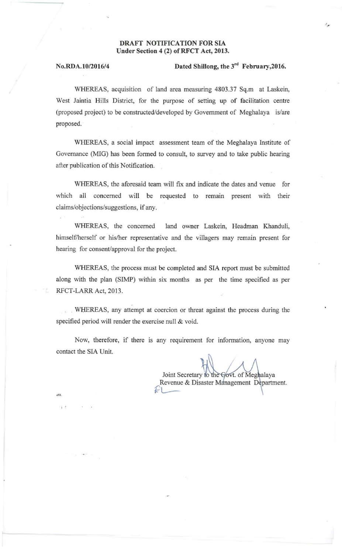## DRAFT NOTIFICATION FOR SIA Under Section 4 (2) of RFCT Act, 2013.

, .

## No.RDA.10/2016/4 Dated Shillong, the  $3^{rd}$  February, 2016.

 $\mathcal{E}_{\text{int}}$ 

WHEREAS, acquisition of land area measuring 4803 .37 Sq.m at Laskein, West Jaintia Hills District, for the purpose of setting up of facilitation centre (proposed project) to be constructed/developed by Government of Meghalaya is/are proposed.

WHEREAS. a social impact assessment team of the Meghalaya Institute of Governance (MIG) has been formed to consult, to survey and to take public hearing after publication of this Notification.

WHEREAS, the aforesaid team will fix and indicate the dates and venue for which all concerned will be requested to remain present with their claims/objections/suggestions, if any.

WHEREAS, the concerned land owner Laskein, Headman Khanduli, himself/herself or his/her representative and the villagers may remain present for hearing for consent/approval for the project.

WHEREAS, the process must be completed and SIA report must be submitted along with the plan (SIMP) within six months as per the time specified as per RFCT-LARR Act, 2013.

. WHEREAS, any attempt at coercion or threat against the process during the specified period will render the exercise null & void.

Now, therefore, if there is any requirement for information, anyone may contact the SIA Unit.

Joint Secretary to the Govt. Revenue & Disaster Ma